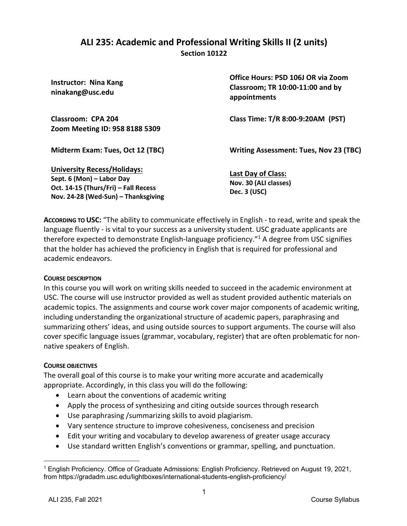## **ALI 235: Academic and Professional Writing Skills II (2 units) Section 10122**

| <b>Instructor: Nina Kang</b><br>ninakang@usc.edu                                                                                               | Office Hours: PSD 106J OR via Zoom<br>Classroom; TR 10:00-11:00 and by<br>appointments |
|------------------------------------------------------------------------------------------------------------------------------------------------|----------------------------------------------------------------------------------------|
| Classroom: CPA 204<br>Zoom Meeting ID: 958 8188 5309                                                                                           | Class Time: T/R 8:00-9:20AM (PST)                                                      |
| Midterm Exam: Tues, Oct 12 (TBC)                                                                                                               | <b>Writing Assessment: Tues, Nov 23 (TBC)</b>                                          |
| <b>University Recess/Holidays:</b><br>Sept. 6 (Mon) - Labor Day<br>Oct. 14-15 (Thurs/Fri) - Fall Recess<br>Nov. 24-28 (Wed-Sun) - Thanksgiving | <b>Last Day of Class:</b><br>Nov. 30 (ALI classes)<br><b>Dec. 3 (USC)</b>              |

**ACCORDING TO USC:** "The ability to communicate effectively in English - to read, write and speak the language fluently - is vital to your success as a university student. USC graduate applicants are therefore expected to demonstrate English-language proficiency."<sup>1</sup> A degree from USC signifies that the holder has achieved the proficiency in English that is required for professional and academic endeavors.

### **COURSE DESCRIPTION**

In this course you will work on writing skills needed to succeed in the academic environment at USC. The course will use instructor provided as well as student provided authentic materials on academic topics. The assignments and course work cover major components of academic writing, including understanding the organizational structure of academic papers, paraphrasing and summarizing others' ideas, and using outside sources to support arguments. The course will also cover specific language issues (grammar, vocabulary, register) that are often problematic for nonnative speakers of English.

### **COURSE OBJECTIVES**

The overall goal of this course is to make your writing more accurate and academically appropriate. Accordingly, in this class you will do the following:

- Learn about the conventions of academic writing
- Apply the process of synthesizing and citing outside sources through research
- Use paraphrasing /summarizing skills to avoid plagiarism.
- Vary sentence structure to improve cohesiveness, conciseness and precision
- Edit your writing and vocabulary to develop awareness of greater usage accuracy
- Use standard written English's conventions or grammar, spelling, and punctuation.

<sup>1</sup> English Proficiency. Office of Graduate Admissions: English Proficiency. Retrieved on August 19, 2021, from https://gradadm.usc.edu/lightboxes/international-students-english-proficiency/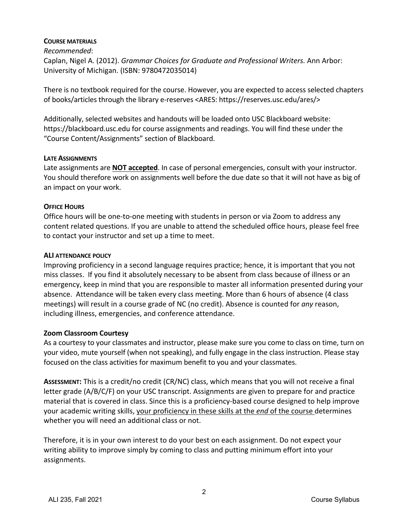#### **COURSE MATERIALS**

*Recommended*: Caplan, Nigel A. (2012). *Grammar Choices for Graduate and Professional Writers.* Ann Arbor: University of Michigan. (ISBN: 9780472035014)

There is no textbook required for the course. However, you are expected to access selected chapters of books/articles through the library e-reserves <ARES: https://reserves.usc.edu/ares/>

Additionally, selected websites and handouts will be loaded onto USC Blackboard website: https://blackboard.usc.edu for course assignments and readings. You will find these under the "Course Content/Assignments" section of Blackboard.

#### **LATE ASSIGNMENTS**

Late assignments are **NOT accepted**. In case of personal emergencies, consult with your instructor. You should therefore work on assignments well before the due date so that it will not have as big of an impact on your work.

### **OFFICE HOURS**

Office hours will be one-to-one meeting with students in person or via Zoom to address any content related questions. If you are unable to attend the scheduled office hours, please feel free to contact your instructor and set up a time to meet.

### **ALI ATTENDANCE POLICY**

Improving proficiency in a second language requires practice; hence, it is important that you not miss classes. If you find it absolutely necessary to be absent from class because of illness or an emergency, keep in mind that you are responsible to master all information presented during your absence. Attendance will be taken every class meeting. More than 6 hours of absence (4 class meetings) will result in a course grade of NC (no credit). Absence is counted for *any* reason, including illness, emergencies, and conference attendance.

### **Zoom Classroom Courtesy**

As a courtesy to your classmates and instructor, please make sure you come to class on time, turn on your video, mute yourself (when not speaking), and fully engage in the class instruction. Please stay focused on the class activities for maximum benefit to you and your classmates.

**ASSESSMENT:** This is a credit/no credit (CR/NC) class, which means that you will not receive a final letter grade (A/B/C/F) on your USC transcript. Assignments are given to prepare for and practice material that is covered in class. Since this is a proficiency-based course designed to help improve your academic writing skills, your proficiency in these skills at the *end* of the course determines whether you will need an additional class or not.

Therefore, it is in your own interest to do your best on each assignment. Do not expect your writing ability to improve simply by coming to class and putting minimum effort into your assignments.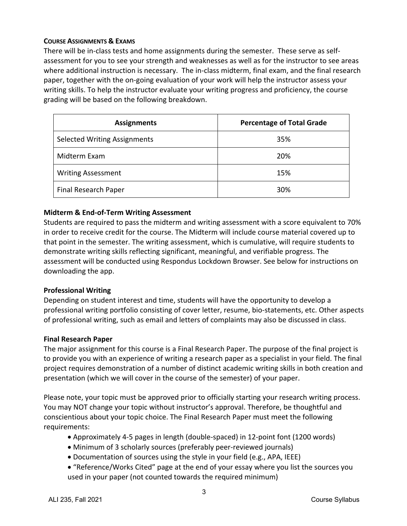### **COURSE ASSIGNMENTS & EXAMS**

There will be in-class tests and home assignments during the semester. These serve as selfassessment for you to see your strength and weaknesses as well as for the instructor to see areas where additional instruction is necessary. The in-class midterm, final exam, and the final research paper, together with the on-going evaluation of your work will help the instructor assess your writing skills. To help the instructor evaluate your writing progress and proficiency, the course grading will be based on the following breakdown.

| <b>Assignments</b>                  | <b>Percentage of Total Grade</b> |
|-------------------------------------|----------------------------------|
| <b>Selected Writing Assignments</b> | 35%                              |
| Midterm Exam                        | 20%                              |
| <b>Writing Assessment</b>           | 15%                              |
| Final Research Paper                | 30%                              |

### **Midterm & End-of-Term Writing Assessment**

Students are required to pass the midterm and writing assessment with a score equivalent to 70% in order to receive credit for the course. The Midterm will include course material covered up to that point in the semester. The writing assessment, which is cumulative, will require students to demonstrate writing skills reflecting significant, meaningful, and verifiable progress. The assessment will be conducted using Respondus Lockdown Browser. See below for instructions on downloading the app.

### **Professional Writing**

Depending on student interest and time, students will have the opportunity to develop a professional writing portfolio consisting of cover letter, resume, bio-statements, etc. Other aspects of professional writing, such as email and letters of complaints may also be discussed in class.

### **Final Research Paper**

The major assignment for this course is a Final Research Paper. The purpose of the final project is to provide you with an experience of writing a research paper as a specialist in your field. The final project requires demonstration of a number of distinct academic writing skills in both creation and presentation (which we will cover in the course of the semester) of your paper.

Please note, your topic must be approved prior to officially starting your research writing process. You may NOT change your topic without instructor's approval. Therefore, be thoughtful and conscientious about your topic choice. The Final Research Paper must meet the following requirements:

- Approximately 4-5 pages in length (double-spaced) in 12-point font (1200 words)
- Minimum of 3 scholarly sources (preferably peer-reviewed journals)
- Documentation of sources using the style in your field (e.g., APA, IEEE)
- "Reference/Works Cited" page at the end of your essay where you list the sources you used in your paper (not counted towards the required minimum)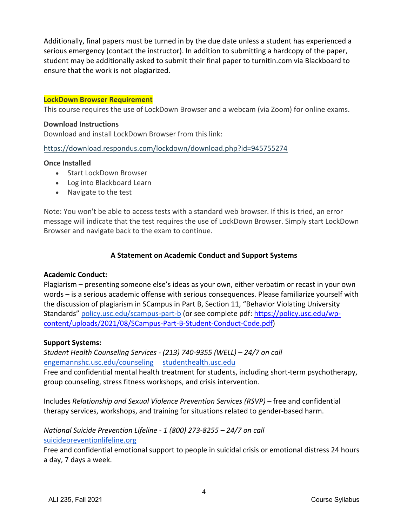Additionally, final papers must be turned in by the due date unless a student has experienced a serious emergency (contact the instructor). In addition to submitting a hardcopy of the paper, student may be additionally asked to submit their final paper to turnitin.com via Blackboard to ensure that the work is not plagiarized.

#### **LockDown Browser Requirement**

This course requires the use of LockDown Browser and a webcam (via Zoom) for online exams.

#### **Download Instructions**

Download and install LockDown Browser from this link:

#### https://download.respondus.com/lockdown/download.php?id=945755274

#### **Once Installed**

- Start LockDown Browser
- Log into Blackboard Learn
- Navigate to the test

Note: You won't be able to access tests with a standard web browser. If this is tried, an error message will indicate that the test requires the use of LockDown Browser. Simply start LockDown Browser and navigate back to the exam to continue.

### **A Statement on Academic Conduct and Support Systems**

#### **Academic Conduct:**

Plagiarism – presenting someone else's ideas as your own, either verbatim or recast in your own words – is a serious academic offense with serious consequences. Please familiarize yourself with the discussion of plagiarism in SCampus in Part B, Section 11, "Behavior Violating University Standards" policy.usc.edu/scampus-part-b (or see complete pdf: https://policy.usc.edu/wpcontent/uploads/2021/08/SCampus-Part-B-Student-Conduct-Code.pdf)

#### **Support Systems:**

*Student Health Counseling Services - (213) 740-9355 (WELL) – 24/7 on call* engemannshc.usc.edu/counseling studenthealth.usc.edu Free and confidential mental health treatment for students, including short-term psychotherapy, group counseling, stress fitness workshops, and crisis intervention.

Includes *Relationship and Sexual Violence Prevention Services (RSVP) –* free and confidential therapy services, workshops, and training for situations related to gender-based harm.

*National Suicide Prevention Lifeline - 1 (800) 273-8255 – 24/7 on call* suicidepreventionlifeline.org

Free and confidential emotional support to people in suicidal crisis or emotional distress 24 hours a day, 7 days a week.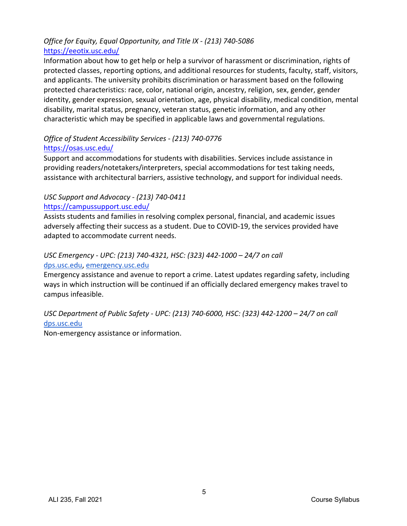## *Office for Equity, Equal Opportunity, and Title IX - (213) 740-5086* https://eeotix.usc.edu/

Information about how to get help or help a survivor of harassment or discrimination, rights of protected classes, reporting options, and additional resources for students, faculty, staff, visitors, and applicants. The university prohibits discrimination or harassment based on the following protected characteristics: race, color, national origin, ancestry, religion, sex, gender, gender identity, gender expression, sexual orientation, age, physical disability, medical condition, mental disability, marital status, pregnancy, veteran status, genetic information, and any other characteristic which may be specified in applicable laws and governmental regulations.

## *Office of Student Accessibility Services - (213) 740-0776* https://osas.usc.edu/

Support and accommodations for students with disabilities. Services include assistance in providing readers/notetakers/interpreters, special accommodations for test taking needs, assistance with architectural barriers, assistive technology, and support for individual needs.

### *USC Support and Advocacy - (213) 740-0411* https://campussupport.usc.edu/

Assists students and families in resolving complex personal, financial, and academic issues adversely affecting their success as a student. Due to COVID-19, the services provided have adapted to accommodate current needs.

## *USC Emergency - UPC: (213) 740-4321, HSC: (323) 442-1000 – 24/7 on call*  dps.usc.edu, emergency.usc.edu

Emergency assistance and avenue to report a crime. Latest updates regarding safety, including ways in which instruction will be continued if an officially declared emergency makes travel to campus infeasible.

## *USC Department of Public Safety - UPC: (213) 740-6000, HSC: (323) 442-1200 – 24/7 on call*  dps.usc.edu

Non-emergency assistance or information.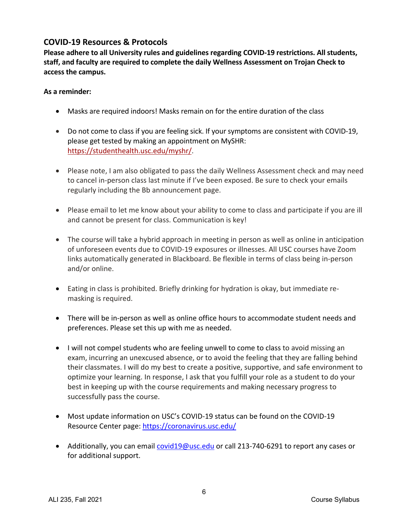## **COVID-19 Resources & Protocols**

**Please adhere to all University rules and guidelines regarding COVID-19 restrictions. All students, staff, and faculty are required to complete the daily Wellness Assessment on Trojan Check to access the campus.** 

### **As a reminder:**

- Masks are required indoors! Masks remain on for the entire duration of the class
- Do not come to class if you are feeling sick. If your symptoms are consistent with COVID-19, please get tested by making an appointment on MySHR: https://studenthealth.usc.edu/myshr/.
- Please note, I am also obligated to pass the daily Wellness Assessment check and may need to cancel in-person class last minute if I've been exposed. Be sure to check your emails regularly including the Bb announcement page.
- Please email to let me know about your ability to come to class and participate if you are ill and cannot be present for class. Communication is key!
- The course will take a hybrid approach in meeting in person as well as online in anticipation of unforeseen events due to COVID-19 exposures or illnesses. All USC courses have Zoom links automatically generated in Blackboard. Be flexible in terms of class being in-person and/or online.
- Eating in class is prohibited. Briefly drinking for hydration is okay, but immediate remasking is required.
- There will be in-person as well as online office hours to accommodate student needs and preferences. Please set this up with me as needed.
- I will not compel students who are feeling unwell to come to class to avoid missing an exam, incurring an unexcused absence, or to avoid the feeling that they are falling behind their classmates. I will do my best to create a positive, supportive, and safe environment to optimize your learning. In response, I ask that you fulfill your role as a student to do your best in keeping up with the course requirements and making necessary progress to successfully pass the course.
- Most update information on USC's COVID-19 status can be found on the COVID-19 Resource Center page: https://coronavirus.usc.edu/
- Additionally, you can email covid19@usc.edu or call 213-740-6291 to report any cases or for additional support.